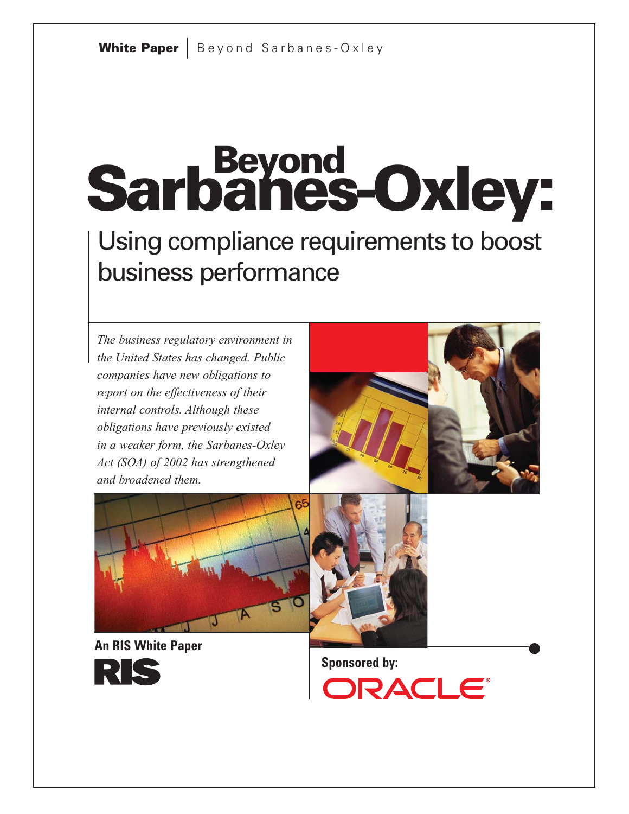# **Sarbanes-Oxley: Beyond**

Using compliance requirements to boost business performance

*The business regulatory environment in the United States has changed. Public companies have new obligations to report on the effectiveness of their internal controls. Although these obligations have previously existed in a weaker form, the Sarbanes-Oxley Act (SOA) of 2002 has strengthened and broadened them.*





**An RIS White Paper**



**Sponsored by:**

**DRACLE®**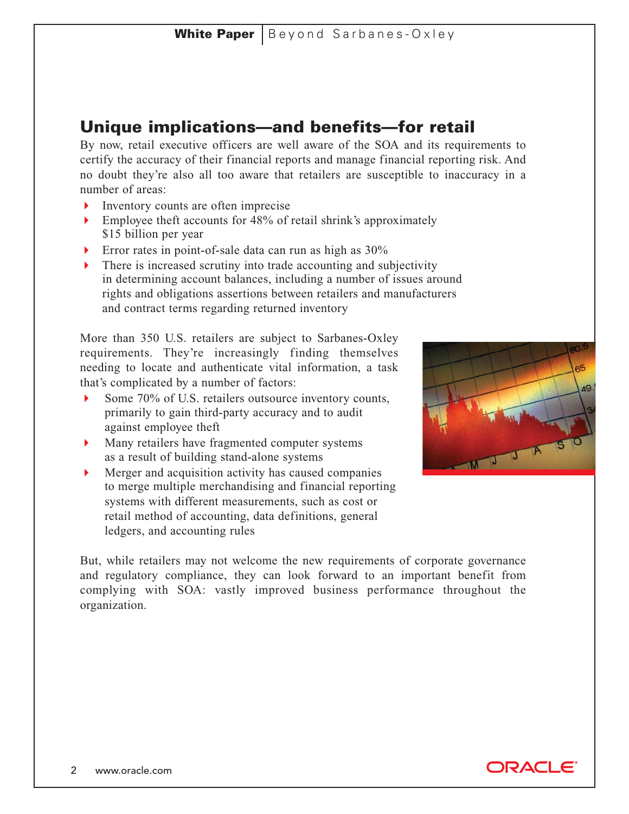# **Unique implications—and benefits—for retail**

By now, retail executive officers are well aware of the SOA and its requirements to certify the accuracy of their financial reports and manage financial reporting risk. And no doubt they're also all too aware that retailers are susceptible to inaccuracy in a number of areas:

- Inventory counts are often imprecise
- Employee theft accounts for 48% of retail shrink's approximately \$15 billion per year
- Error rates in point-of-sale data can run as high as 30%
- There is increased scrutiny into trade accounting and subjectivity in determining account balances, including a number of issues around rights and obligations assertions between retailers and manufacturers and contract terms regarding returned inventory

More than 350 U.S. retailers are subject to Sarbanes-Oxley requirements. They're increasingly finding themselves needing to locate and authenticate vital information, a task that's complicated by a number of factors:

- Some  $70\%$  of U.S. retailers outsource inventory counts, primarily to gain third-party accuracy and to audit against employee theft
- Many retailers have fragmented computer systems as a result of building stand-alone systems
- Merger and acquisition activity has caused companies to merge multiple merchandising and financial reporting systems with different measurements, such as cost or retail method of accounting, data definitions, general ledgers, and accounting rules



But, while retailers may not welcome the new requirements of corporate governance and regulatory compliance, they can look forward to an important benefit from complying with SOA: vastly improved business performance throughout the organization.

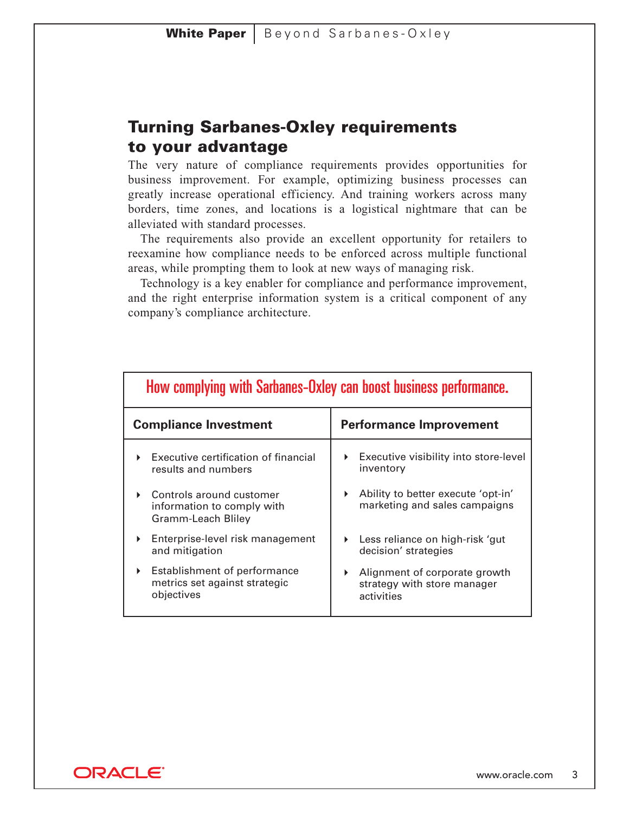# **Turning Sarbanes-Oxley requirements to your advantage**

The very nature of compliance requirements provides opportunities for business improvement. For example, optimizing business processes can greatly increase operational efficiency. And training workers across many borders, time zones, and locations is a logistical nightmare that can be alleviated with standard processes.

The requirements also provide an excellent opportunity for retailers to reexamine how compliance needs to be enforced across multiple functional areas, while prompting them to look at new ways of managing risk.

Technology is a key enabler for compliance and performance improvement, and the right enterprise information system is a critical component of any company's compliance architecture.

| How complying with Sarbanes-Oxley can boost business performance.                                    |                                                                            |  |
|------------------------------------------------------------------------------------------------------|----------------------------------------------------------------------------|--|
| <b>Compliance Investment</b>                                                                         | <b>Performance Improvement</b>                                             |  |
| Executive certification of financial<br>results and numbers                                          | Executive visibility into store-level<br>inventory                         |  |
| Controls around customer<br>ь<br>information to comply with<br>Gramm-Leach Bliley                    | Ability to better execute 'opt-in'<br>Þ.<br>marketing and sales campaigns  |  |
| Enterprise-level risk management<br>Þ.<br>and mitigation                                             | Less reliance on high-risk 'gut<br>decision' strategies                    |  |
| Establishment of performance<br>$\blacktriangleright$<br>metrics set against strategic<br>objectives | Alignment of corporate growth<br>strategy with store manager<br>activities |  |

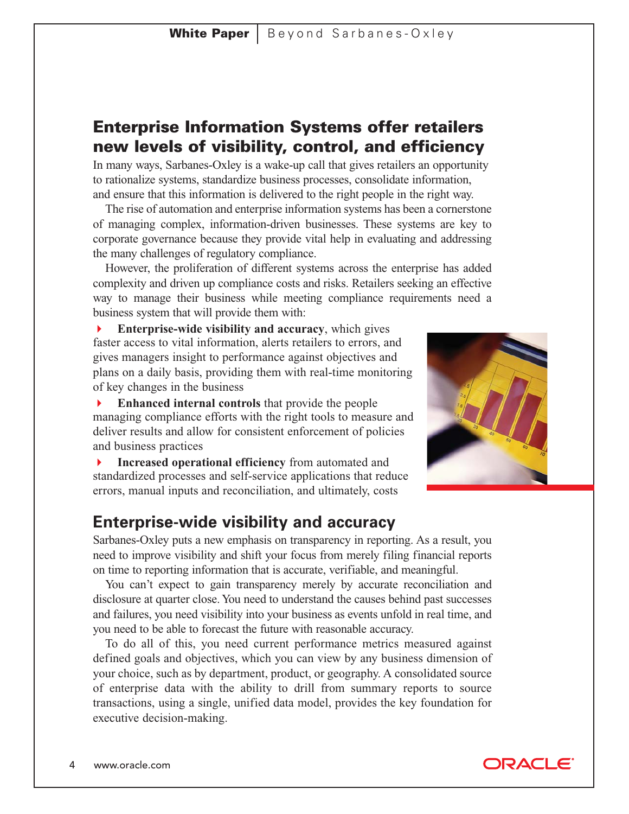# **Enterprise Information Systems offer retailers new levels of visibility, control, and efficiency**

In many ways, Sarbanes-Oxley is a wake-up call that gives retailers an opportunity to rationalize systems, standardize business processes, consolidate information, and ensure that this information is delivered to the right people in the right way.

The rise of automation and enterprise information systems has been a cornerstone of managing complex, information-driven businesses. These systems are key to corporate governance because they provide vital help in evaluating and addressing the many challenges of regulatory compliance.

However, the proliferation of different systems across the enterprise has added complexity and driven up compliance costs and risks. Retailers seeking an effective way to manage their business while meeting compliance requirements need a business system that will provide them with:

 **Enterprise-wide visibility and accuracy**, which gives faster access to vital information, alerts retailers to errors, and gives managers insight to performance against objectives and plans on a daily basis, providing them with real-time monitoring of key changes in the business

 **Enhanced internal controls** that provide the people managing compliance efforts with the right tools to measure and deliver results and allow for consistent enforcement of policies and business practices

 **Increased operational efficiency** from automated and standardized processes and self-service applications that reduce errors, manual inputs and reconciliation, and ultimately, costs



# **Enterprise-wide visibility and accuracy**

Sarbanes-Oxley puts a new emphasis on transparency in reporting. As a result, you need to improve visibility and shift your focus from merely filing financial reports on time to reporting information that is accurate, verifiable, and meaningful.

You can't expect to gain transparency merely by accurate reconciliation and disclosure at quarter close. You need to understand the causes behind past successes and failures, you need visibility into your business as events unfold in real time, and you need to be able to forecast the future with reasonable accuracy.

To do all of this, you need current performance metrics measured against defined goals and objectives, which you can view by any business dimension of your choice, such as by department, product, or geography. A consolidated source of enterprise data with the ability to drill from summary reports to source transactions, using a single, unified data model, provides the key foundation for executive decision-making.

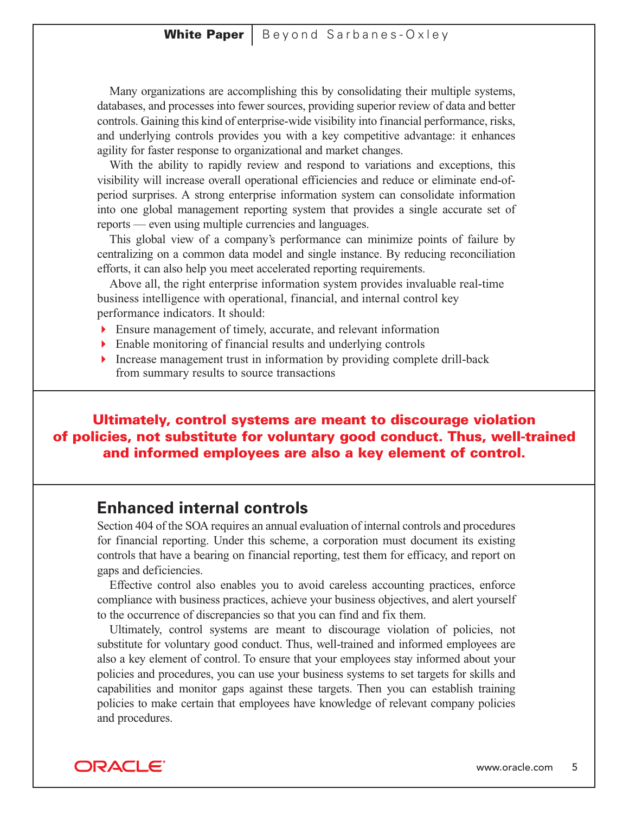#### **White Paper** | Beyond Sarbanes-Oxley

Many organizations are accomplishing this by consolidating their multiple systems, databases, and processes into fewer sources, providing superior review of data and better controls. Gaining this kind of enterprise-wide visibility into financial performance, risks, and underlying controls provides you with a key competitive advantage: it enhances agility for faster response to organizational and market changes.

With the ability to rapidly review and respond to variations and exceptions, this visibility will increase overall operational efficiencies and reduce or eliminate end-ofperiod surprises. A strong enterprise information system can consolidate information into one global management reporting system that provides a single accurate set of reports — even using multiple currencies and languages.

This global view of a company's performance can minimize points of failure by centralizing on a common data model and single instance. By reducing reconciliation efforts, it can also help you meet accelerated reporting requirements.

Above all, the right enterprise information system provides invaluable real-time business intelligence with operational, financial, and internal control key performance indicators. It should:

- Ensure management of timely, accurate, and relevant information
- Enable monitoring of financial results and underlying controls
- Increase management trust in information by providing complete drill-back from summary results to source transactions

#### **Ultimately, control systems are meant to discourage violation of policies, not substitute for voluntary good conduct. Thus, well-trained and informed employees are also a key element of control.**

### **Enhanced internal controls**

Section 404 of the SOA requires an annual evaluation of internal controls and procedures for financial reporting. Under this scheme, a corporation must document its existing controls that have a bearing on financial reporting, test them for efficacy, and report on gaps and deficiencies.

Effective control also enables you to avoid careless accounting practices, enforce compliance with business practices, achieve your business objectives, and alert yourself to the occurrence of discrepancies so that you can find and fix them.

Ultimately, control systems are meant to discourage violation of policies, not substitute for voluntary good conduct. Thus, well-trained and informed employees are also a key element of control. To ensure that your employees stay informed about your policies and procedures, you can use your business systems to set targets for skills and capabilities and monitor gaps against these targets. Then you can establish training policies to make certain that employees have knowledge of relevant company policies and procedures.

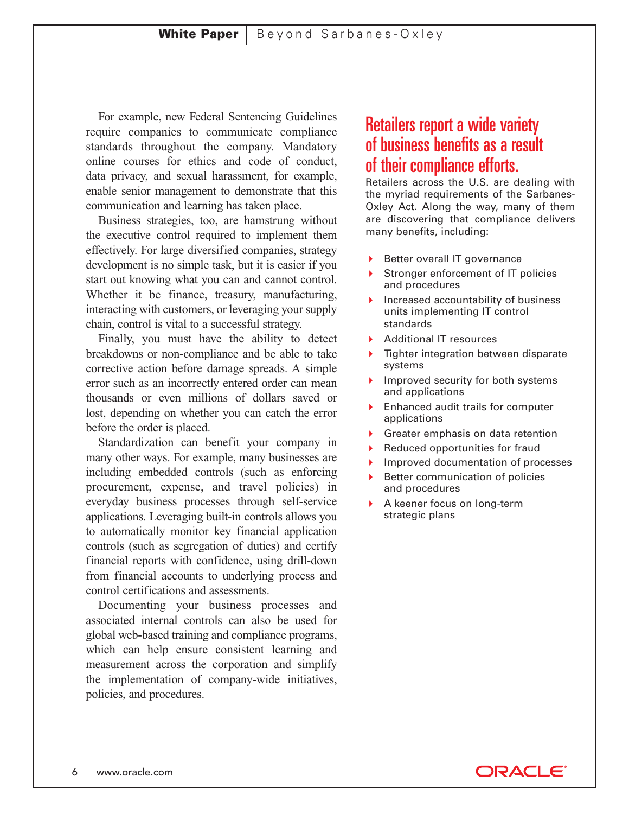For example, new Federal Sentencing Guidelines require companies to communicate compliance standards throughout the company. Mandatory online courses for ethics and code of conduct, data privacy, and sexual harassment, for example, enable senior management to demonstrate that this communication and learning has taken place.

Business strategies, too, are hamstrung without the executive control required to implement them effectively. For large diversified companies, strategy development is no simple task, but it is easier if you start out knowing what you can and cannot control. Whether it be finance, treasury, manufacturing, interacting with customers, or leveraging your supply chain, control is vital to a successful strategy.

Finally, you must have the ability to detect breakdowns or non-compliance and be able to take corrective action before damage spreads. A simple error such as an incorrectly entered order can mean thousands or even millions of dollars saved or lost, depending on whether you can catch the error before the order is placed.

Standardization can benefit your company in many other ways. For example, many businesses are including embedded controls (such as enforcing procurement, expense, and travel policies) in everyday business processes through self-service applications. Leveraging built-in controls allows you to automatically monitor key financial application controls (such as segregation of duties) and certify financial reports with confidence, using drill-down from financial accounts to underlying process and control certifications and assessments.

Documenting your business processes and associated internal controls can also be used for global web-based training and compliance programs, which can help ensure consistent learning and measurement across the corporation and simplify the implementation of company-wide initiatives, policies, and procedures.

# Retailers report a wide variety of business benefits as a result of their compliance efforts.

Retailers across the U.S. are dealing with the myriad requirements of the Sarbanes-Oxley Act. Along the way, many of them are discovering that compliance delivers many benefits, including:

- Better overall IT governance
- Stronger enforcement of IT policies and procedures
- Increased accountability of business units implementing IT control standards
- Additional IT resources
- ▶ Tighter integration between disparate systems
- Improved security for both systems and applications
- **Enhanced audit trails for computer** applications
- Greater emphasis on data retention
- Reduced opportunities for fraud
- Improved documentation of processes
- Better communication of policies and procedures
- A keener focus on long-term strategic plans

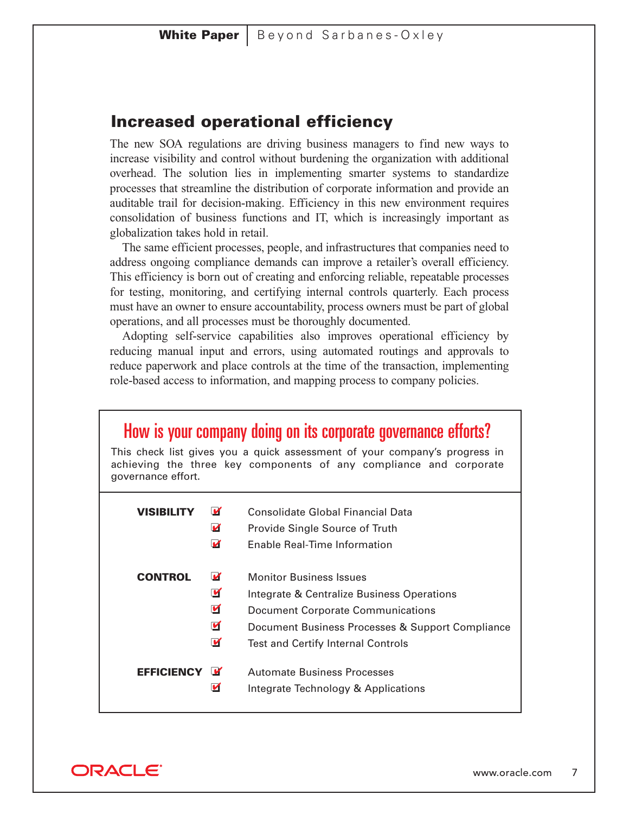#### **Increased operational efficiency**

The new SOA regulations are driving business managers to find new ways to increase visibility and control without burdening the organization with additional overhead. The solution lies in implementing smarter systems to standardize processes that streamline the distribution of corporate information and provide an auditable trail for decision-making. Efficiency in this new environment requires consolidation of business functions and IT, which is increasingly important as globalization takes hold in retail.

The same efficient processes, people, and infrastructures that companies need to address ongoing compliance demands can improve a retailer's overall efficiency. This efficiency is born out of creating and enforcing reliable, repeatable processes for testing, monitoring, and certifying internal controls quarterly. Each process must have an owner to ensure accountability, process owners must be part of global operations, and all processes must be thoroughly documented.

Adopting self-service capabilities also improves operational efficiency by reducing manual input and errors, using automated routings and approvals to reduce paperwork and place controls at the time of the transaction, implementing role-based access to information, and mapping process to company policies.

| How is your company doing on its corporate governance efforts?<br>This check list gives you a quick assessment of your company's progress in<br>achieving the three key components of any compliance and corporate<br>governance effort. |                                                              |                                                                                                                                                                                                                           |
|------------------------------------------------------------------------------------------------------------------------------------------------------------------------------------------------------------------------------------------|--------------------------------------------------------------|---------------------------------------------------------------------------------------------------------------------------------------------------------------------------------------------------------------------------|
| <b>VISIBILITY</b>                                                                                                                                                                                                                        | v<br>И<br>M                                                  | Consolidate Global Financial Data<br>Provide Single Source of Truth<br>Enable Real-Time Information                                                                                                                       |
| <b>CONTROL</b>                                                                                                                                                                                                                           | M<br>$\blacksquare$<br>$\blacksquare$<br>$\blacksquare$<br>Ø | <b>Monitor Business Issues</b><br>Integrate & Centralize Business Operations<br><b>Document Corporate Communications</b><br>Document Business Processes & Support Compliance<br><b>Test and Certify Internal Controls</b> |
| <b>EFFICIENCY</b>                                                                                                                                                                                                                        | u<br>И                                                       | <b>Automate Business Processes</b><br>Integrate Technology & Applications                                                                                                                                                 |